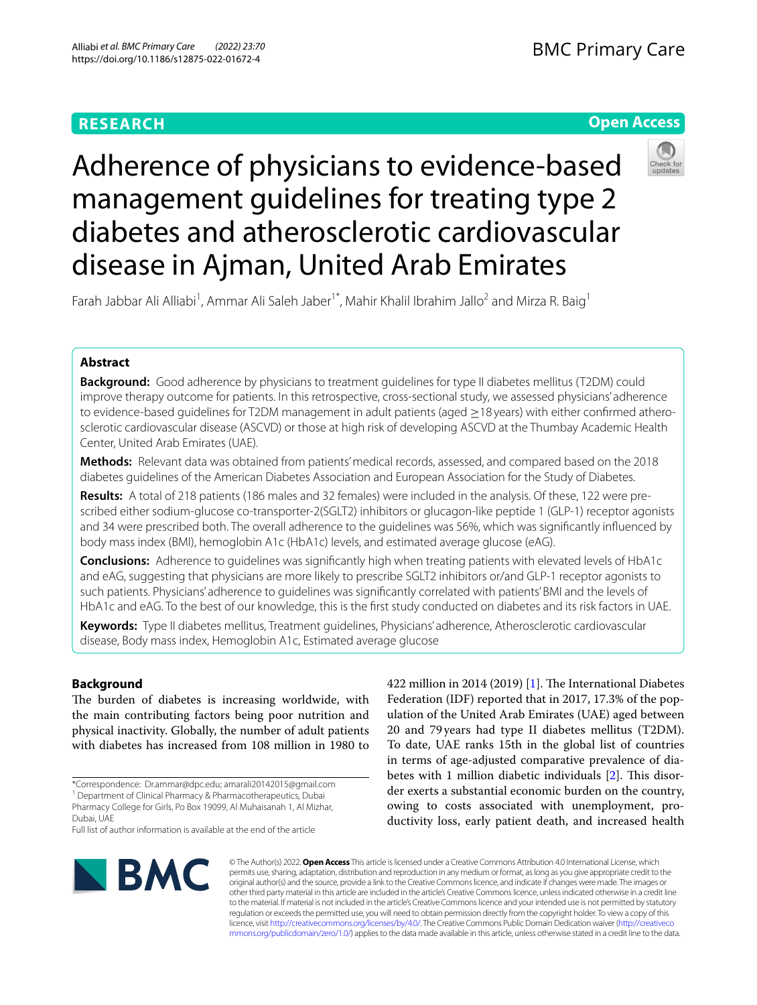# **RESEARCH**

# **Open Access**



# Adherence of physicians to evidence-based management guidelines for treating type 2 diabetes and atherosclerotic cardiovascular disease in Ajman, United Arab Emirates

Farah Jabbar Ali Alliabi<sup>1</sup>, Ammar Ali Saleh Jaber<sup>1\*</sup>, Mahir Khalil Ibrahim Jallo<sup>2</sup> and Mirza R. Baig<sup>1</sup>

# **Abstract**

**Background:** Good adherence by physicians to treatment guidelines for type II diabetes mellitus (T2DM) could improve therapy outcome for patients. In this retrospective, cross-sectional study, we assessed physicians' adherence to evidence-based guidelines for T2DM management in adult patients (aged ≥18 years) with either confrmed atherosclerotic cardiovascular disease (ASCVD) or those at high risk of developing ASCVD at the Thumbay Academic Health Center, United Arab Emirates (UAE).

**Methods:** Relevant data was obtained from patients' medical records, assessed, and compared based on the 2018 diabetes guidelines of the American Diabetes Association and European Association for the Study of Diabetes.

**Results:** A total of 218 patients (186 males and 32 females) were included in the analysis. Of these, 122 were prescribed either sodium-glucose co-transporter-2(SGLT2) inhibitors or glucagon-like peptide 1 (GLP-1) receptor agonists and 34 were prescribed both. The overall adherence to the guidelines was 56%, which was signifcantly infuenced by body mass index (BMI), hemoglobin A1c (HbA1c) levels, and estimated average glucose (eAG).

**Conclusions:** Adherence to guidelines was signifcantly high when treating patients with elevated levels of HbA1c and eAG, suggesting that physicians are more likely to prescribe SGLT2 inhibitors or/and GLP-1 receptor agonists to such patients. Physicians' adherence to guidelines was signifcantly correlated with patients' BMI and the levels of HbA1c and eAG. To the best of our knowledge, this is the frst study conducted on diabetes and its risk factors in UAE.

**Keywords:** Type II diabetes mellitus, Treatment guidelines, Physicians' adherence, Atherosclerotic cardiovascular disease, Body mass index, Hemoglobin A1c, Estimated average glucose

## **Background**

The burden of diabetes is increasing worldwide, with the main contributing factors being poor nutrition and physical inactivity. Globally, the number of adult patients with diabetes has increased from 108 million in 1980 to

422 million in 2014 (2019)  $[1]$ . The International Diabetes Federation (IDF) reported that in 2017, 17.3% of the population of the United Arab Emirates (UAE) aged between 20 and 79years had type II diabetes mellitus (T2DM). To date, UAE ranks 15th in the global list of countries in terms of age-adjusted comparative prevalence of dia-betes with 1 million diabetic individuals [[2\]](#page-6-1). This disorder exerts a substantial economic burden on the country, owing to costs associated with unemployment, productivity loss, early patient death, and increased health



© The Author(s) 2022. **Open Access** This article is licensed under a Creative Commons Attribution 4.0 International License, which permits use, sharing, adaptation, distribution and reproduction in any medium or format, as long as you give appropriate credit to the original author(s) and the source, provide a link to the Creative Commons licence, and indicate if changes were made. The images or other third party material in this article are included in the article's Creative Commons licence, unless indicated otherwise in a credit line to the material. If material is not included in the article's Creative Commons licence and your intended use is not permitted by statutory regulation or exceeds the permitted use, you will need to obtain permission directly from the copyright holder. To view a copy of this licence, visit [http://creativecommons.org/licenses/by/4.0/.](http://creativecommons.org/licenses/by/4.0/) The Creative Commons Public Domain Dedication waiver ([http://creativeco](http://creativecommons.org/publicdomain/zero/1.0/) [mmons.org/publicdomain/zero/1.0/](http://creativecommons.org/publicdomain/zero/1.0/)) applies to the data made available in this article, unless otherwise stated in a credit line to the data.

<sup>\*</sup>Correspondence: Dr.ammar@dpc.edu; amarali20142015@gmail.com <sup>1</sup> Department of Clinical Pharmacy & Pharmacotherapeutics, Dubai Pharmacy College for Girls, Po Box 19099, Al Muhaisanah 1, Al Mizhar, Dubai, UAE Full list of author information is available at the end of the article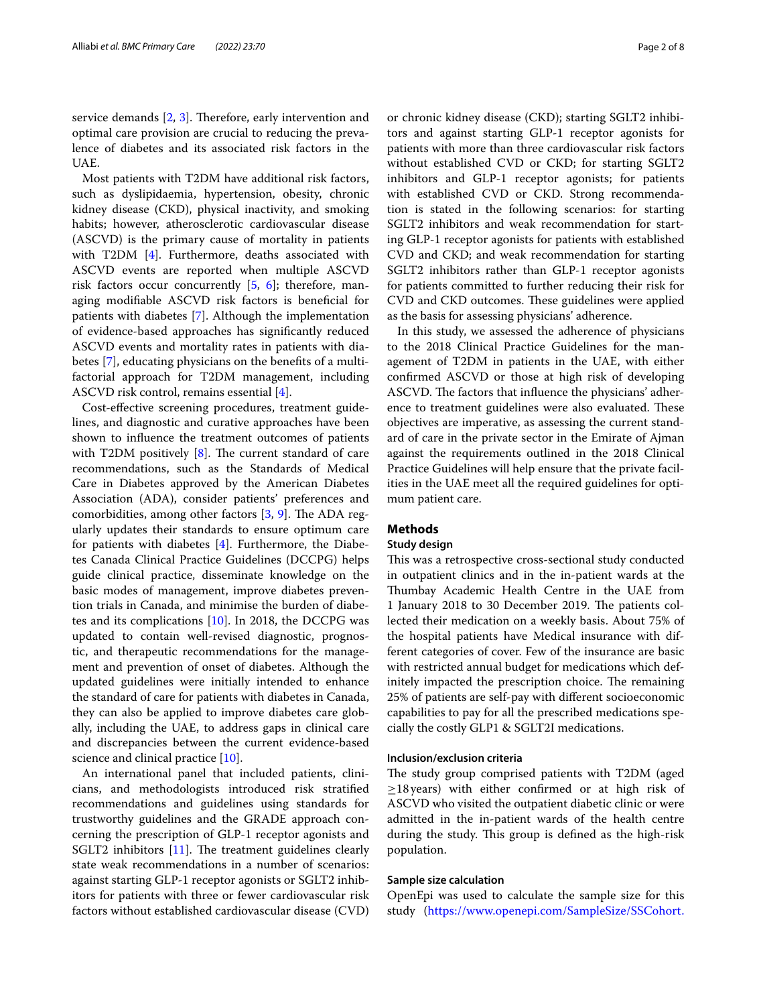service demands  $[2, 3]$  $[2, 3]$  $[2, 3]$  $[2, 3]$ . Therefore, early intervention and optimal care provision are crucial to reducing the prevalence of diabetes and its associated risk factors in the UAE.

Most patients with T2DM have additional risk factors, such as dyslipidaemia, hypertension, obesity, chronic kidney disease (CKD), physical inactivity, and smoking habits; however, atherosclerotic cardiovascular disease (ASCVD) is the primary cause of mortality in patients with T2DM [[4\]](#page-6-3). Furthermore, deaths associated with ASCVD events are reported when multiple ASCVD risk factors occur concurrently  $[5, 6]$  $[5, 6]$  $[5, 6]$  $[5, 6]$ ; therefore, managing modifable ASCVD risk factors is benefcial for patients with diabetes [[7\]](#page-6-6). Although the implementation of evidence-based approaches has signifcantly reduced ASCVD events and mortality rates in patients with diabetes [[7\]](#page-6-6), educating physicians on the benefts of a multifactorial approach for T2DM management, including ASCVD risk control, remains essential [\[4](#page-6-3)].

Cost-efective screening procedures, treatment guidelines, and diagnostic and curative approaches have been shown to infuence the treatment outcomes of patients with T2DM positively  $[8]$  $[8]$  $[8]$ . The current standard of care recommendations, such as the Standards of Medical Care in Diabetes approved by the American Diabetes Association (ADA), consider patients' preferences and comorbidities, among other factors  $[3, 9]$  $[3, 9]$  $[3, 9]$  $[3, 9]$ . The ADA regularly updates their standards to ensure optimum care for patients with diabetes [[4](#page-6-3)]. Furthermore, the Diabetes Canada Clinical Practice Guidelines (DCCPG) helps guide clinical practice, disseminate knowledge on the basic modes of management, improve diabetes prevention trials in Canada, and minimise the burden of diabetes and its complications [\[10](#page-6-9)]. In 2018, the DCCPG was updated to contain well-revised diagnostic, prognostic, and therapeutic recommendations for the management and prevention of onset of diabetes. Although the updated guidelines were initially intended to enhance the standard of care for patients with diabetes in Canada, they can also be applied to improve diabetes care globally, including the UAE, to address gaps in clinical care and discrepancies between the current evidence-based science and clinical practice [[10\]](#page-6-9).

An international panel that included patients, clinicians, and methodologists introduced risk stratifed recommendations and guidelines using standards for trustworthy guidelines and the GRADE approach concerning the prescription of GLP-1 receptor agonists and SGLT2 inhibitors  $[11]$  $[11]$ . The treatment guidelines clearly state weak recommendations in a number of scenarios: against starting GLP-1 receptor agonists or SGLT2 inhibitors for patients with three or fewer cardiovascular risk factors without established cardiovascular disease (CVD) or chronic kidney disease (CKD); starting SGLT2 inhibitors and against starting GLP-1 receptor agonists for patients with more than three cardiovascular risk factors without established CVD or CKD; for starting SGLT2 inhibitors and GLP-1 receptor agonists; for patients with established CVD or CKD. Strong recommendation is stated in the following scenarios: for starting SGLT2 inhibitors and weak recommendation for starting GLP-1 receptor agonists for patients with established CVD and CKD; and weak recommendation for starting SGLT2 inhibitors rather than GLP-1 receptor agonists for patients committed to further reducing their risk for CVD and CKD outcomes. These guidelines were applied as the basis for assessing physicians' adherence.

In this study, we assessed the adherence of physicians to the 2018 Clinical Practice Guidelines for the management of T2DM in patients in the UAE, with either confrmed ASCVD or those at high risk of developing ASCVD. The factors that influence the physicians' adherence to treatment guidelines were also evaluated. These objectives are imperative, as assessing the current standard of care in the private sector in the Emirate of Ajman against the requirements outlined in the 2018 Clinical Practice Guidelines will help ensure that the private facilities in the UAE meet all the required guidelines for optimum patient care.

## **Methods**

#### **Study design**

This was a retrospective cross-sectional study conducted in outpatient clinics and in the in-patient wards at the Thumbay Academic Health Centre in the UAE from 1 January 2018 to 30 December 2019. The patients collected their medication on a weekly basis. About 75% of the hospital patients have Medical insurance with different categories of cover. Few of the insurance are basic with restricted annual budget for medications which definitely impacted the prescription choice. The remaining 25% of patients are self-pay with diferent socioeconomic capabilities to pay for all the prescribed medications specially the costly GLP1 & SGLT2I medications.

## **Inclusion/exclusion criteria**

The study group comprised patients with T2DM (aged ≥18years) with either confrmed or at high risk of ASCVD who visited the outpatient diabetic clinic or were admitted in the in-patient wards of the health centre during the study. This group is defined as the high-risk population.

#### **Sample size calculation**

OpenEpi was used to calculate the sample size for this study ([https://www.openepi.com/SampleSize/SSCohort.](https://www.openepi.com/SampleSize/SSCohort.html)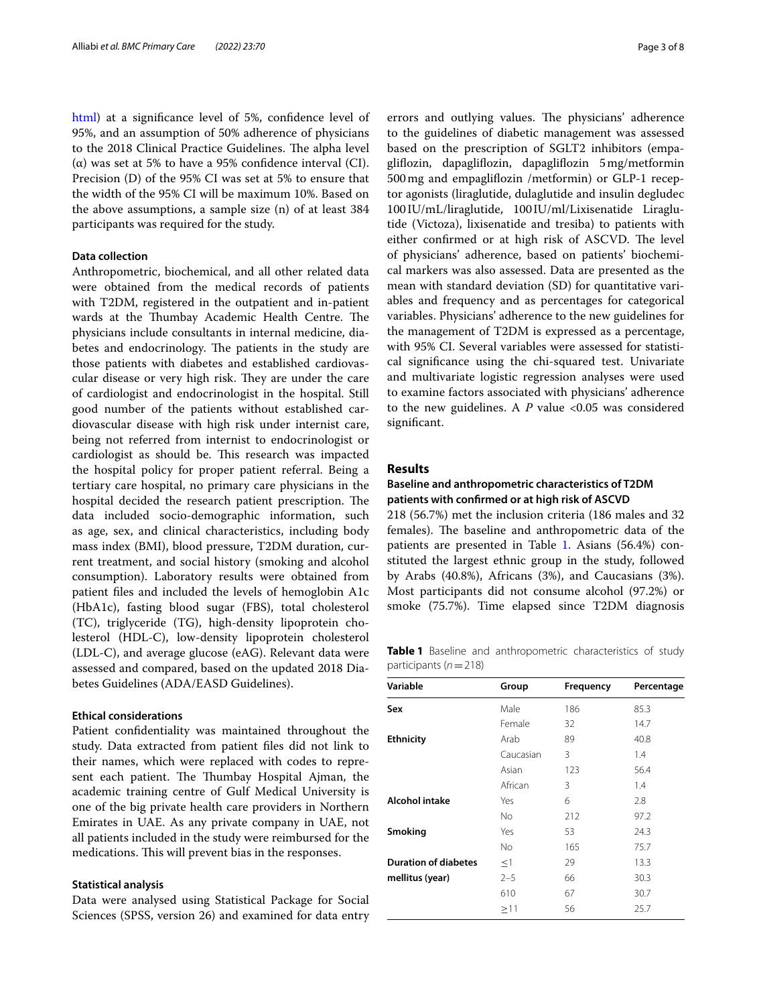[html](https://www.openepi.com/SampleSize/SSCohort.html)) at a signifcance level of 5%, confdence level of 95%, and an assumption of 50% adherence of physicians to the 2018 Clinical Practice Guidelines. The alpha level (α) was set at 5% to have a 95% confdence interval (CI). Precision (D) of the 95% CI was set at 5% to ensure that the width of the 95% CI will be maximum 10%. Based on the above assumptions, a sample size (n) of at least 384 participants was required for the study.

#### **Data collection**

Anthropometric, biochemical, and all other related data were obtained from the medical records of patients with T2DM, registered in the outpatient and in-patient wards at the Thumbay Academic Health Centre. The physicians include consultants in internal medicine, diabetes and endocrinology. The patients in the study are those patients with diabetes and established cardiovascular disease or very high risk. They are under the care of cardiologist and endocrinologist in the hospital. Still good number of the patients without established cardiovascular disease with high risk under internist care, being not referred from internist to endocrinologist or cardiologist as should be. This research was impacted the hospital policy for proper patient referral. Being a tertiary care hospital, no primary care physicians in the hospital decided the research patient prescription. The data included socio-demographic information, such as age, sex, and clinical characteristics, including body mass index (BMI), blood pressure, T2DM duration, current treatment, and social history (smoking and alcohol consumption). Laboratory results were obtained from patient fles and included the levels of hemoglobin A1c (HbA1c), fasting blood sugar (FBS), total cholesterol (TC), triglyceride (TG), high-density lipoprotein cholesterol (HDL-C), low-density lipoprotein cholesterol (LDL-C), and average glucose (eAG). Relevant data were assessed and compared, based on the updated 2018 Diabetes Guidelines (ADA/EASD Guidelines).

## **Ethical considerations**

Patient confdentiality was maintained throughout the study. Data extracted from patient fles did not link to their names, which were replaced with codes to represent each patient. The Thumbay Hospital Ajman, the academic training centre of Gulf Medical University is one of the big private health care providers in Northern Emirates in UAE. As any private company in UAE, not all patients included in the study were reimbursed for the medications. This will prevent bias in the responses.

#### **Statistical analysis**

Data were analysed using Statistical Package for Social Sciences (SPSS, version 26) and examined for data entry errors and outlying values. The physicians' adherence to the guidelines of diabetic management was assessed based on the prescription of SGLT2 inhibitors (empaglifozin, dapaglifozin, dapaglifozin 5mg/metformin 500mg and empaglifozin /metformin) or GLP-1 receptor agonists (liraglutide, dulaglutide and insulin degludec 100IU/mL/liraglutide, 100IU/ml/Lixisenatide Liraglutide (Victoza), lixisenatide and tresiba) to patients with either confirmed or at high risk of ASCVD. The level of physicians' adherence, based on patients' biochemical markers was also assessed. Data are presented as the mean with standard deviation (SD) for quantitative variables and frequency and as percentages for categorical variables. Physicians' adherence to the new guidelines for the management of T2DM is expressed as a percentage, with 95% CI. Several variables were assessed for statistical signifcance using the chi-squared test. Univariate and multivariate logistic regression analyses were used to examine factors associated with physicians' adherence to the new guidelines. A *P* value <0.05 was considered signifcant.

## **Results**

## **Baseline and anthropometric characteristics of T2DM patients with confrmed or at high risk of ASCVD**

218 (56.7%) met the inclusion criteria (186 males and 32 females). The baseline and anthropometric data of the patients are presented in Table [1](#page-2-0). Asians (56.4%) constituted the largest ethnic group in the study, followed by Arabs (40.8%), Africans (3%), and Caucasians (3%). Most participants did not consume alcohol (97.2%) or smoke (75.7%). Time elapsed since T2DM diagnosis

<span id="page-2-0"></span>**Table 1** Baseline and anthropometric characteristics of study participants (*n*=218)

| Variable                    | Group     | <b>Frequency</b> | Percentage |
|-----------------------------|-----------|------------------|------------|
| Sex                         | Male      | 186              | 85.3       |
|                             | Female    | 32               | 14.7       |
| <b>Ethnicity</b>            | Arab      | 89               | 40.8       |
|                             | Caucasian | 3                | 1.4        |
|                             | Asian     | 123              | 56.4       |
|                             | African   | 3                | 1.4        |
| <b>Alcohol intake</b>       | Yes       | 6                | 2.8        |
|                             | No.       | 212              | 97.2       |
| Smoking                     | Yes       | 53               | 24.3       |
|                             | No.       | 165              | 75.7       |
| <b>Duration of diabetes</b> | ≤1        | 29               | 13.3       |
| mellitus (year)             | $2 - 5$   | 66               | 30.3       |
|                             | 610       | 67               | 30.7       |
|                             | $\geq$ 11 | 56               | 25.7       |
|                             |           |                  |            |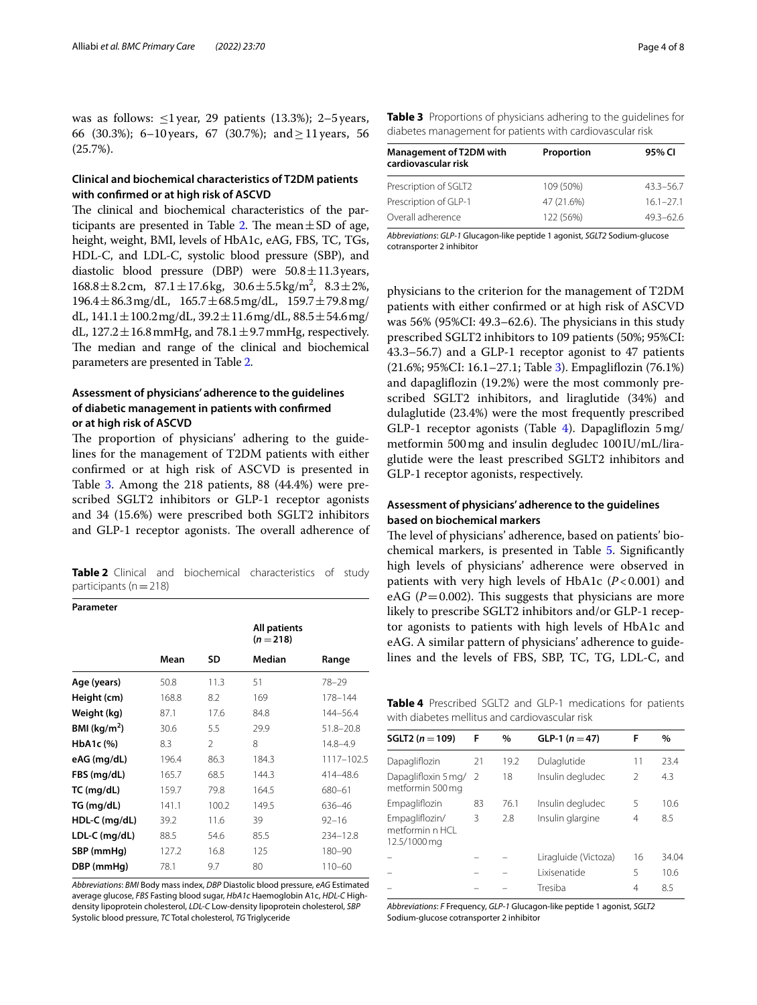was as follows:  $\leq$ 1 year, 29 patients (13.3%); 2–5 years, 66 (30.3%); 6–10 years, 67 (30.7%); and  $\geq$  11 years, 56 (25.7%).

## **Clinical and biochemical characteristics of T2DM patients with confrmed or at high risk of ASCVD**

The clinical and biochemical characteristics of the par-ticipants are presented in Table [2.](#page-3-0) The mean $\pm$ SD of age, height, weight, BMI, levels of HbA1c, eAG, FBS, TC, TGs, HDL-C, and LDL-C, systolic blood pressure (SBP), and diastolic blood pressure (DBP) were  $50.8 \pm 11.3$  years,  $168.8 \pm 8.2$  cm,  $87.1 \pm 17.6$  kg,  $30.6 \pm 5.5$  kg/m<sup>2</sup>,  $8.3 \pm 2\%$ ,  $196.4 \pm 86.3$  mg/dL,  $165.7 \pm 68.5$  mg/dL,  $159.7 \pm 79.8$  mg/ dL,  $141.1 \pm 100.2$  mg/dL,  $39.2 \pm 11.6$  mg/dL,  $88.5 \pm 54.6$  mg/ dL,  $127.2 \pm 16.8$  mmHg, and  $78.1 \pm 9.7$  mmHg, respectively. The median and range of the clinical and biochemical parameters are presented in Table [2](#page-3-0).

## **Assessment of physicians' adherence to the guidelines of diabetic management in patients with confrmed or at high risk of ASCVD**

The proportion of physicians' adhering to the guidelines for the management of T2DM patients with either confrmed or at high risk of ASCVD is presented in Table [3.](#page-3-1) Among the 218 patients, 88 (44.4%) were prescribed SGLT2 inhibitors or GLP-1 receptor agonists and 34 (15.6%) were prescribed both SGLT2 inhibitors and GLP-1 receptor agonists. The overall adherence of

<span id="page-3-0"></span>**Table 2** Clinical and biochemical characteristics of study participants ( $n=218$ )

## **Parameter**

|                 |       |                | <b>All patients</b><br>$(n=218)$ |               |
|-----------------|-------|----------------|----------------------------------|---------------|
|                 | Mean  | SD             | Median                           | Range         |
| Age (years)     | 50.8  | 11.3           | 51                               | $78 - 29$     |
| Height (cm)     | 168.8 | 8.2            | 169                              | 178-144       |
| Weight (kg)     | 87.1  | 17.6           | 84.8                             | 144-56.4      |
| BMI ( $kg/m2$ ) | 30.6  | 5.5            | 29.9                             | $51.8 - 20.8$ |
| HbA1c (%)       | 8.3   | $\mathfrak{D}$ | 8                                | $14.8 - 4.9$  |
| eAG (mg/dL)     | 196.4 | 86.3           | 184.3                            | 1117-102.5    |
| FBS (mg/dL)     | 165.7 | 68.5           | 144.3                            | 414-48.6      |
| TC (mg/dL)      | 159.7 | 79.8           | 164.5                            | 680-61        |
| TG (mg/dL)      | 141.1 | 100.2          | 149.5                            | 636-46        |
| HDL-C (mg/dL)   | 39.2  | 11.6           | 39                               | $92 - 16$     |
| LDL-C (mg/dL)   | 88.5  | 54.6           | 85.5                             | 234-12.8      |
| SBP (mmHg)      | 127.2 | 16.8           | 125                              | 180-90        |
| DBP (mmHg)      | 78.1  | 9.7            | 80                               | $110 - 60$    |

*Abbreviations*: *BMI* Body mass index, *DBP* Diastolic blood pressure, *eAG* Estimated average glucose, *FBS* Fasting blood sugar, *HbA1c* Haemoglobin A1c, *HDL-C* Highdensity lipoprotein cholesterol, *LDL-C* Low-density lipoprotein cholesterol, *SBP* Systolic blood pressure, *TC* Total cholesterol, *TG* Triglyceride

<span id="page-3-1"></span>

| Table 3 Proportions of physicians adhering to the guidelines for |  |  |  |
|------------------------------------------------------------------|--|--|--|
| diabetes management for patients with cardiovascular risk        |  |  |  |

| <b>Management of T2DM with</b><br>cardiovascular risk | Proportion | 95% CI        |  |  |
|-------------------------------------------------------|------------|---------------|--|--|
| Prescription of SGLT2                                 | 109 (50%)  | $43.3 - 56.7$ |  |  |
| Prescription of GLP-1                                 | 47 (21.6%) | $16.1 - 27.1$ |  |  |
| Overall adherence                                     | 122 (56%)  | $49.3 - 62.6$ |  |  |

*Abbreviations*: *GLP-1* Glucagon-like peptide 1 agonist, *SGLT2* Sodium-glucose cotransporter 2 inhibitor

physicians to the criterion for the management of T2DM patients with either confrmed or at high risk of ASCVD was  $56\%$  (95%CI: 49.3–62.6). The physicians in this study prescribed SGLT2 inhibitors to 109 patients (50%; 95%CI: 43.3–56.7) and a GLP-1 receptor agonist to 47 patients (21.6%; 95%CI: 16.1–27.1; Table [3\)](#page-3-1). Empaglifozin (76.1%) and dapaglifozin (19.2%) were the most commonly prescribed SGLT2 inhibitors, and liraglutide (34%) and dulaglutide (23.4%) were the most frequently prescribed GLP-1 receptor agonists (Table [4](#page-3-2)). Dapaglifozin 5mg/ metformin 500mg and insulin degludec 100IU/mL/liraglutide were the least prescribed SGLT2 inhibitors and GLP-1 receptor agonists, respectively.

## **Assessment of physicians' adherence to the guidelines based on biochemical markers**

The level of physicians' adherence, based on patients' biochemical markers, is presented in Table [5.](#page-4-0) Signifcantly high levels of physicians' adherence were observed in patients with very high levels of HbA1c (*P*<0.001) and eAG ( $P=0.002$ ). This suggests that physicians are more likely to prescribe SGLT2 inhibitors and/or GLP-1 receptor agonists to patients with high levels of HbA1c and eAG. A similar pattern of physicians' adherence to guidelines and the levels of FBS, SBP, TC, TG, LDL-C, and

<span id="page-3-2"></span>**Table 4** Prescribed SGLT2 and GLP-1 medications for patients with diabetes mellitus and cardiovascular risk

| SGLT2 $(n = 109)$                                 | F  | $\%$ | GLP-1 $(n=47)$       | F             | $\%$  |
|---------------------------------------------------|----|------|----------------------|---------------|-------|
| Dapagliflozin                                     | 21 | 19.2 | Dulaglutide          | 11            | 23.4  |
| Dapaglifloxin 5 mg/ 2<br>metformin 500 mg         |    | 18   | Insulin degludec     | $\mathcal{P}$ | 4.3   |
| Empagliflozin                                     | 83 | 76.1 | Insulin degludec     | 5             | 10.6  |
| Empagliflozin/<br>metformin n HCL<br>12.5/1000 mg | 3  | 2.8  | Insulin glargine     | 4             | 8.5   |
|                                                   |    |      | Liragluide (Victoza) | 16            | 34.04 |
|                                                   |    |      | l ixisenatide        | 5             | 10.6  |
|                                                   |    |      | Tresiba              | 4             | 8.5   |

*Abbreviations*: *F* Frequency, *GLP-1* Glucagon-like peptide 1 agonist, *SGLT2* Sodium-glucose cotransporter 2 inhibitor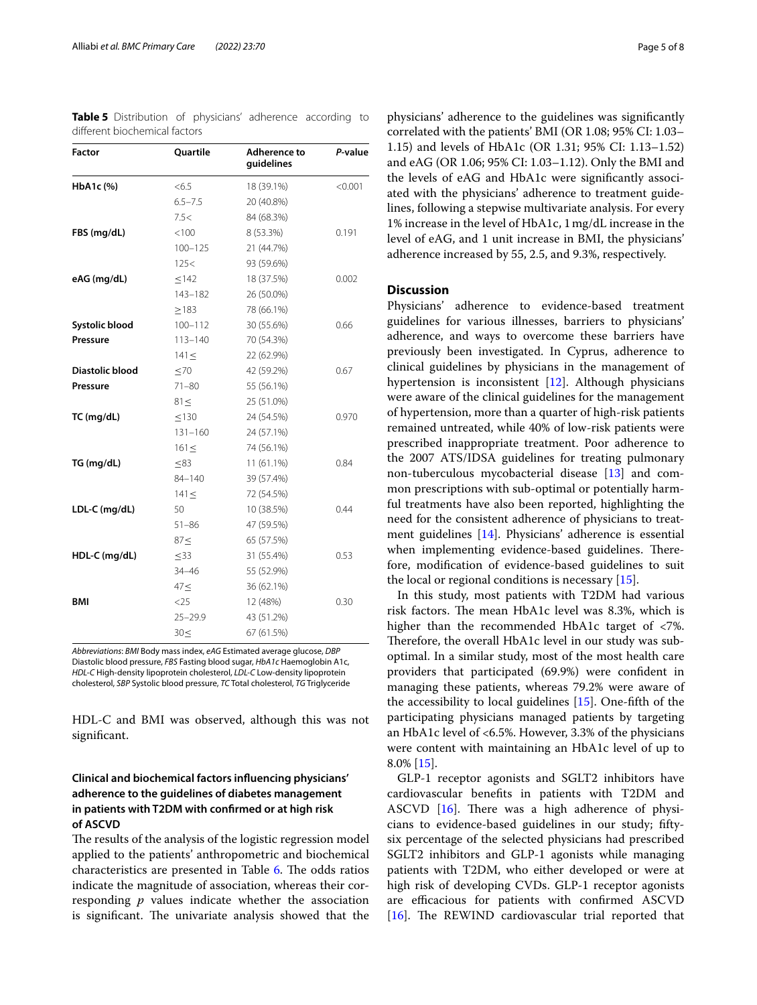| <b>Factor</b>         | <b>Ouartile</b> | Adherence to<br>guidelines | P-value |
|-----------------------|-----------------|----------------------------|---------|
| HbA1c (%)             | <6.5            | 18 (39.1%)                 | < 0.001 |
|                       | $6.5 - 7.5$     | 20 (40.8%)                 |         |
|                       | 7.5<            | 84 (68.3%)                 |         |
| FBS (mg/dL)           | < 100           | 8 (53.3%)                  | 0.191   |
|                       | $100 - 125$     | 21 (44.7%)                 |         |
|                       | 125<            | 93 (59.6%)                 |         |
| eAG (mg/dL)           | < 142           | 18 (37.5%)                 | 0.002   |
|                       | 143-182         | 26 (50.0%)                 |         |
|                       | >183            | 78 (66.1%)                 |         |
| <b>Systolic blood</b> | $100 - 112$     | 30 (55.6%)                 | 0.66    |
| Pressure              | $113 - 140$     | 70 (54.3%)                 |         |
|                       | 141 <           | 22 (62.9%)                 |         |
| Diastolic blood       | $\leq 70$       | 42 (59.2%)                 | 0.67    |
| Pressure              | $71 - 80$       | 55 (56.1%)                 |         |
|                       | $81 \leq$       | 25 (51.0%)                 |         |
| TC (mg/dL)            | $\leq$ 130      | 24 (54.5%)                 | 0.970   |
|                       | $131 - 160$     | 24 (57.1%)                 |         |
|                       | $161 \leq$      | 74 (56.1%)                 |         |
| TG (mg/dL)            | < 83            | $11(61.1\%)$               | 0.84    |
|                       | 84-140          | 39 (57.4%)                 |         |
|                       | 141 <           | 72 (54.5%)                 |         |
| LDL-C (mg/dL)         | 50              | 10 (38.5%)                 | 0.44    |
|                       | $51 - 86$       | 47 (59.5%)                 |         |
|                       | 87<             | 65 (57.5%)                 |         |
| HDL-C (mg/dL)         | $\leq$ 33       | 31 (55.4%)                 | 0.53    |
|                       | $34 - 46$       | 55 (52.9%)                 |         |
|                       | 47<             | 36 (62.1%)                 |         |
| BMI                   | $<$ 25          | 12 (48%)                   | 0.30    |
|                       | $25 - 29.9$     | 43 (51.2%)                 |         |
|                       | 30<             | 67 (61.5%)                 |         |

<span id="page-4-0"></span>**Table 5** Distribution of physicians' adherence according to diferent biochemical factors

*Abbreviations*: *BMI* Body mass index, *eAG* Estimated average glucose, *DBP* Diastolic blood pressure, *FBS* Fasting blood sugar, *HbA1c* Haemoglobin A1c, *HDL-C* High-density lipoprotein cholesterol, *LDL-C* Low-density lipoprotein cholesterol, *SBP* Systolic blood pressure, *TC* Total cholesterol, *TG* Triglyceride

HDL-C and BMI was observed, although this was not signifcant.

## **Clinical and biochemical factors infuencing physicians' adherence to the guidelines of diabetes management in patients with T2DM with confrmed or at high risk of ASCVD**

The results of the analysis of the logistic regression model applied to the patients' anthropometric and biochemical characteristics are presented in Table [6](#page-5-0). The odds ratios indicate the magnitude of association, whereas their corresponding *p* values indicate whether the association is significant. The univariate analysis showed that the

physicians' adherence to the guidelines was signifcantly correlated with the patients' BMI (OR 1.08; 95% CI: 1.03– 1.15) and levels of HbA1c (OR 1.31; 95% CI: 1.13–1.52) and eAG (OR 1.06; 95% CI: 1.03–1.12). Only the BMI and the levels of eAG and HbA1c were signifcantly associated with the physicians' adherence to treatment guidelines, following a stepwise multivariate analysis. For every 1% increase in the level of HbA1c, 1mg/dL increase in the level of eAG, and 1 unit increase in BMI, the physicians' adherence increased by 55, 2.5, and 9.3%, respectively.

## **Discussion**

Physicians' adherence to evidence-based treatment guidelines for various illnesses, barriers to physicians' adherence, and ways to overcome these barriers have previously been investigated. In Cyprus, adherence to clinical guidelines by physicians in the management of hypertension is inconsistent [\[12](#page-6-11)]. Although physicians were aware of the clinical guidelines for the management of hypertension, more than a quarter of high-risk patients remained untreated, while 40% of low-risk patients were prescribed inappropriate treatment. Poor adherence to the 2007 ATS/IDSA guidelines for treating pulmonary non-tuberculous mycobacterial disease [[13](#page-6-12)] and common prescriptions with sub-optimal or potentially harmful treatments have also been reported, highlighting the need for the consistent adherence of physicians to treatment guidelines [[14\]](#page-6-13). Physicians' adherence is essential when implementing evidence-based guidelines. Therefore, modifcation of evidence-based guidelines to suit the local or regional conditions is necessary [[15\]](#page-6-14).

In this study, most patients with T2DM had various risk factors. The mean HbA1c level was 8.3%, which is higher than the recommended HbA1c target of <7%. Therefore, the overall HbA1c level in our study was suboptimal. In a similar study, most of the most health care providers that participated (69.9%) were confdent in managing these patients, whereas 79.2% were aware of the accessibility to local guidelines [\[15](#page-6-14)]. One-ffth of the participating physicians managed patients by targeting an HbA1c level of <6.5%. However, 3.3% of the physicians were content with maintaining an HbA1c level of up to 8.0% [\[15\]](#page-6-14).

GLP-1 receptor agonists and SGLT2 inhibitors have cardiovascular benefts in patients with T2DM and ASCVD  $[16]$ . There was a high adherence of physicians to evidence-based guidelines in our study; fftysix percentage of the selected physicians had prescribed SGLT2 inhibitors and GLP-1 agonists while managing patients with T2DM, who either developed or were at high risk of developing CVDs. GLP-1 receptor agonists are efficacious for patients with confirmed ASCVD [[16\]](#page-6-15). The REWIND cardiovascular trial reported that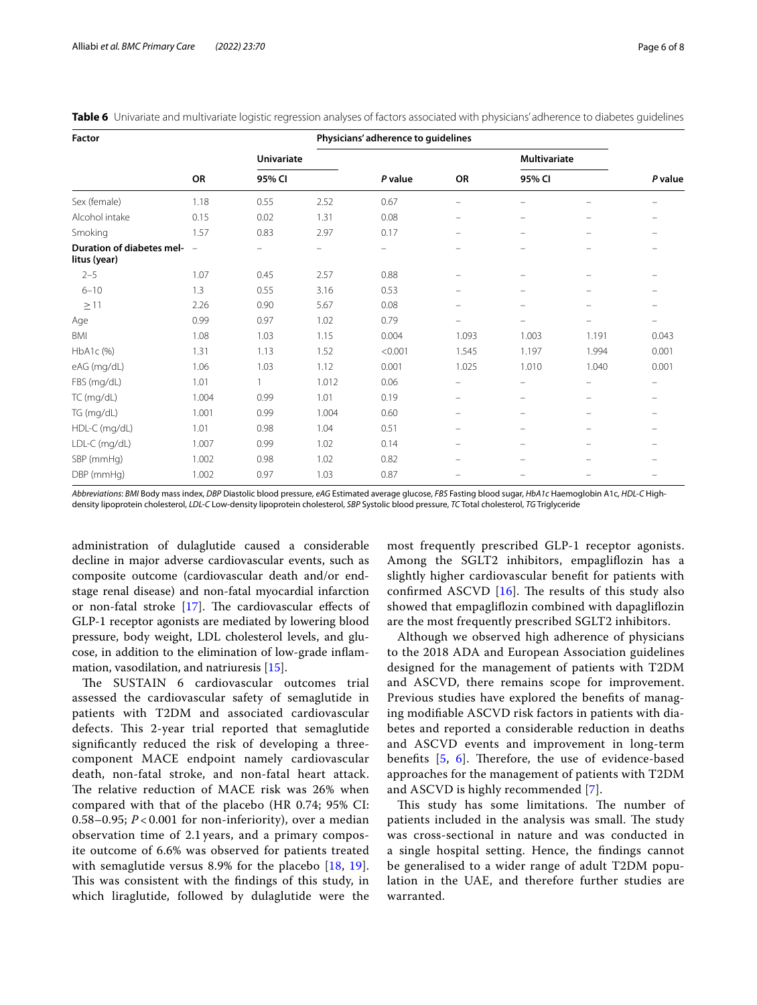| Factor                                    |               |                             |                          | Physicians' adherence to guidelines |                          |                               |          |                   |
|-------------------------------------------|---------------|-----------------------------|--------------------------|-------------------------------------|--------------------------|-------------------------------|----------|-------------------|
|                                           |               | <b>Univariate</b><br>95% CI |                          | P value                             | OR                       | <b>Multivariate</b><br>95% CI |          | P value           |
|                                           | OR            |                             |                          |                                     |                          |                               |          |                   |
| Sex (female)                              | 1.18          | 0.55                        | 2.52                     | 0.67                                | $\overline{\phantom{0}}$ |                               |          |                   |
| Alcohol intake                            | 0.15          | 0.02                        | 1.31                     | 0.08                                | -                        | -                             |          |                   |
| Smoking                                   | 1.57          | 0.83                        | 2.97                     | 0.17                                | -                        | $\overline{\phantom{0}}$      | $\equiv$ |                   |
| Duration of diabetes mel-<br>litus (year) | $\frac{1}{2}$ |                             | $\overline{\phantom{m}}$ | $\qquad \qquad -$                   | $\overline{\phantom{0}}$ |                               |          |                   |
| $2 - 5$                                   | 1.07          | 0.45                        | 2.57                     | 0.88                                | -                        |                               |          |                   |
| $6 - 10$                                  | 1.3           | 0.55                        | 3.16                     | 0.53                                | -                        | -                             |          |                   |
| $\geq$ 11                                 | 2.26          | 0.90                        | 5.67                     | 0.08                                | $\equiv$                 |                               |          |                   |
| Age                                       | 0.99          | 0.97                        | 1.02                     | 0.79                                | -                        | -                             | -        | $\qquad \qquad -$ |
| BMI                                       | 1.08          | 1.03                        | 1.15                     | 0.004                               | 1.093                    | 1.003                         | 1.191    | 0.043             |
| HbA1c(%)                                  | 1.31          | 1.13                        | 1.52                     | < 0.001                             | 1.545                    | 1.197                         | 1.994    | 0.001             |
| eAG (mg/dL)                               | 1.06          | 1.03                        | 1.12                     | 0.001                               | 1.025                    | 1.010                         | 1.040    | 0.001             |
| FBS (mg/dL)                               | 1.01          | 1                           | 1.012                    | 0.06                                | -                        |                               |          |                   |
| TC (mg/dL)                                | 1.004         | 0.99                        | 1.01                     | 0.19                                | $\equiv$                 | $\overline{\phantom{0}}$      | $=$      |                   |
| TG (mg/dL)                                | 1.001         | 0.99                        | 1.004                    | 0.60                                | -                        | $\overline{\phantom{0}}$      | -        |                   |
| HDL-C (mg/dL)                             | 1.01          | 0.98                        | 1.04                     | 0.51                                | -                        | -                             |          |                   |
| LDL-C (mg/dL)                             | 1.007         | 0.99                        | 1.02                     | 0.14                                | -                        | -                             | -        |                   |
| SBP (mmHg)                                | 1.002         | 0.98                        | 1.02                     | 0.82                                | -                        | -                             |          |                   |
| DBP (mmHg)                                | 1.002         | 0.97                        | 1.03                     | 0.87                                | -                        | -                             | $-$      | $\qquad \qquad -$ |

<span id="page-5-0"></span>**Table 6** Univariate and multivariate logistic regression analyses of factors associated with physicians' adherence to diabetes guidelines

*Abbreviations*: *BMI* Body mass index, *DBP* Diastolic blood pressure, *eAG* Estimated average glucose, *FBS* Fasting blood sugar, *HbA1c* Haemoglobin A1c, *HDL-C* Highdensity lipoprotein cholesterol, *LDL-C* Low-density lipoprotein cholesterol, *SBP* Systolic blood pressure, *TC* Total cholesterol, *TG* Triglyceride

administration of dulaglutide caused a considerable decline in major adverse cardiovascular events, such as composite outcome (cardiovascular death and/or endstage renal disease) and non-fatal myocardial infarction or non-fatal stroke  $[17]$  $[17]$ . The cardiovascular effects of GLP-1 receptor agonists are mediated by lowering blood pressure, body weight, LDL cholesterol levels, and glucose, in addition to the elimination of low-grade infammation, vasodilation, and natriuresis [[15\]](#page-6-14).

The SUSTAIN 6 cardiovascular outcomes trial assessed the cardiovascular safety of semaglutide in patients with T2DM and associated cardiovascular defects. This 2-year trial reported that semaglutide signifcantly reduced the risk of developing a threecomponent MACE endpoint namely cardiovascular death, non-fatal stroke, and non-fatal heart attack. The relative reduction of MACE risk was 26% when compared with that of the placebo (HR 0.74; 95% CI: 0.58–0.95;  $P < 0.001$  for non-inferiority), over a median observation time of 2.1 years, and a primary composite outcome of 6.6% was observed for patients treated with semaglutide versus 8.9% for the placebo [[18,](#page-7-1) [19\]](#page-7-2). This was consistent with the findings of this study, in which liraglutide, followed by dulaglutide were the most frequently prescribed GLP-1 receptor agonists. Among the SGLT2 inhibitors, empaglifozin has a slightly higher cardiovascular beneft for patients with confirmed ASCVD  $[16]$  $[16]$ . The results of this study also showed that empaglifozin combined with dapaglifozin are the most frequently prescribed SGLT2 inhibitors.

Although we observed high adherence of physicians to the 2018 ADA and European Association guidelines designed for the management of patients with T2DM and ASCVD, there remains scope for improvement. Previous studies have explored the benefts of managing modifable ASCVD risk factors in patients with diabetes and reported a considerable reduction in deaths and ASCVD events and improvement in long-term benefits  $[5, 6]$  $[5, 6]$  $[5, 6]$ . Therefore, the use of evidence-based approaches for the management of patients with T2DM and ASCVD is highly recommended [[7\]](#page-6-6).

This study has some limitations. The number of patients included in the analysis was small. The study was cross-sectional in nature and was conducted in a single hospital setting. Hence, the fndings cannot be generalised to a wider range of adult T2DM population in the UAE, and therefore further studies are warranted.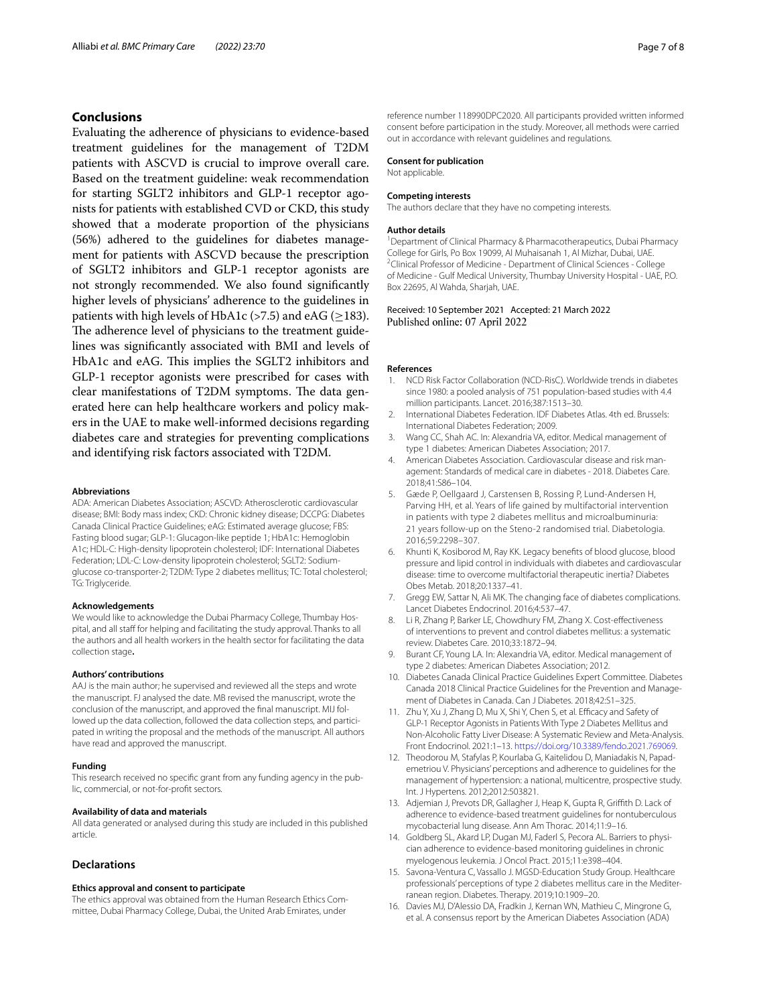## **Conclusions**

Evaluating the adherence of physicians to evidence-based treatment guidelines for the management of T2DM patients with ASCVD is crucial to improve overall care. Based on the treatment guideline: weak recommendation for starting SGLT2 inhibitors and GLP-1 receptor agonists for patients with established CVD or CKD, this study showed that a moderate proportion of the physicians (56%) adhered to the guidelines for diabetes management for patients with ASCVD because the prescription of SGLT2 inhibitors and GLP-1 receptor agonists are not strongly recommended. We also found signifcantly higher levels of physicians' adherence to the guidelines in patients with high levels of HbA1c (>7.5) and eAG ( $\geq$ 183). The adherence level of physicians to the treatment guidelines was signifcantly associated with BMI and levels of HbA1c and eAG. This implies the SGLT2 inhibitors and GLP-1 receptor agonists were prescribed for cases with clear manifestations of T2DM symptoms. The data generated here can help healthcare workers and policy makers in the UAE to make well-informed decisions regarding diabetes care and strategies for preventing complications and identifying risk factors associated with T2DM.

#### **Abbreviations**

ADA: American Diabetes Association; ASCVD: Atherosclerotic cardiovascular disease; BMI: Body mass index; CKD: Chronic kidney disease; DCCPG: Diabetes Canada Clinical Practice Guidelines; eAG: Estimated average glucose; FBS: Fasting blood sugar; GLP-1: Glucagon-like peptide 1; HbA1c: Hemoglobin A1c; HDL-C: High-density lipoprotein cholesterol; IDF: International Diabetes Federation; LDL-C: Low-density lipoprotein cholesterol; SGLT2: Sodiumglucose co-transporter-2; T2DM: Type 2 diabetes mellitus; TC: Total cholesterol; TG: Triglyceride.

#### **Acknowledgements**

We would like to acknowledge the Dubai Pharmacy College, Thumbay Hospital, and all staff for helping and facilitating the study approval. Thanks to all the authors and all health workers in the health sector for facilitating the data collection stage**.**

#### **Authors' contributions**

AAJ is the main author; he supervised and reviewed all the steps and wrote the manuscript. FJ analysed the date. MB revised the manuscript, wrote the conclusion of the manuscript, and approved the fnal manuscript. MIJ followed up the data collection, followed the data collection steps, and participated in writing the proposal and the methods of the manuscript. All authors have read and approved the manuscript.

#### **Funding**

This research received no specifc grant from any funding agency in the public, commercial, or not-for-proft sectors.

#### **Availability of data and materials**

All data generated or analysed during this study are included in this published article.

## **Declarations**

#### **Ethics approval and consent to participate**

The ethics approval was obtained from the Human Research Ethics Committee, Dubai Pharmacy College, Dubai, the United Arab Emirates, under

reference number 118990DPC2020. All participants provided written informed consent before participation in the study. Moreover, all methods were carried out in accordance with relevant guidelines and regulations.

#### **Consent for publication**

Not applicable.

#### **Competing interests**

The authors declare that they have no competing interests.

#### **Author details**

<sup>1</sup> Department of Clinical Pharmacy & Pharmacotherapeutics, Dubai Pharmacy College for Girls, Po Box 19099, Al Muhaisanah 1, Al Mizhar, Dubai, UAE. 2 <sup>2</sup> Clinical Professor of Medicine - Department of Clinical Sciences - College of Medicine - Gulf Medical University, Thumbay University Hospital - UAE, P.O. Box 22695, Al Wahda, Sharjah, UAE.

#### Received: 10 September 2021 Accepted: 21 March 2022 Published online: 07 April 2022

#### **References**

- <span id="page-6-0"></span>1. NCD Risk Factor Collaboration (NCD-RisC). Worldwide trends in diabetes since 1980: a pooled analysis of 751 population-based studies with 4.4 million participants. Lancet. 2016;387:1513–30.
- <span id="page-6-1"></span>2. International Diabetes Federation. IDF Diabetes Atlas. 4th ed. Brussels: International Diabetes Federation; 2009.
- <span id="page-6-2"></span>3. Wang CC, Shah AC. In: Alexandria VA, editor. Medical management of type 1 diabetes: American Diabetes Association; 2017.
- <span id="page-6-3"></span>4. American Diabetes Association. Cardiovascular disease and risk management: Standards of medical care in diabetes - 2018. Diabetes Care. 2018;41:S86–104.
- <span id="page-6-4"></span>5. Gæde P, Oellgaard J, Carstensen B, Rossing P, Lund-Andersen H, Parving HH, et al. Years of life gained by multifactorial intervention in patients with type 2 diabetes mellitus and microalbuminuria: 21 years follow-up on the Steno-2 randomised trial. Diabetologia. 2016;59:2298–307.
- <span id="page-6-5"></span>6. Khunti K, Kosiborod M, Ray KK. Legacy benefts of blood glucose, blood pressure and lipid control in individuals with diabetes and cardiovascular disease: time to overcome multifactorial therapeutic inertia? Diabetes Obes Metab. 2018;20:1337–41.
- <span id="page-6-6"></span>7. Gregg EW, Sattar N, Ali MK. The changing face of diabetes complications. Lancet Diabetes Endocrinol. 2016;4:537–47.
- <span id="page-6-7"></span>8. Li R, Zhang P, Barker LE, Chowdhury FM, Zhang X. Cost-effectiveness of interventions to prevent and control diabetes mellitus: a systematic review. Diabetes Care. 2010;33:1872–94.
- <span id="page-6-8"></span>9. Burant CF, Young LA. In: Alexandria VA, editor. Medical management of type 2 diabetes: American Diabetes Association; 2012.
- <span id="page-6-9"></span>10. Diabetes Canada Clinical Practice Guidelines Expert Committee. Diabetes Canada 2018 Clinical Practice Guidelines for the Prevention and Management of Diabetes in Canada. Can J Diabetes. 2018;42:S1–325.
- <span id="page-6-10"></span>11. Zhu Y, Xu J, Zhang D, Mu X, Shi Y, Chen S, et al. Efficacy and Safety of GLP-1 Receptor Agonists in Patients With Type 2 Diabetes Mellitus and Non-Alcoholic Fatty Liver Disease: A Systematic Review and Meta-Analysis. Front Endocrinol. 2021:1–13. [https://doi.org/10.3389/fendo.2021.769069.](https://doi.org/10.3389/fendo.2021.769069)
- <span id="page-6-11"></span>12. Theodorou M, Stafylas P, Kourlaba G, Kaitelidou D, Maniadakis N, Papademetriou V. Physicians' perceptions and adherence to guidelines for the management of hypertension: a national, multicentre, prospective study. Int. J Hypertens. 2012;2012:503821.
- <span id="page-6-12"></span>13. Adjemian J, Prevots DR, Gallagher J, Heap K, Gupta R, Grifth D. Lack of adherence to evidence-based treatment guidelines for nontuberculous mycobacterial lung disease. Ann Am Thorac. 2014;11:9–16.
- <span id="page-6-13"></span>14. Goldberg SL, Akard LP, Dugan MJ, Faderl S, Pecora AL. Barriers to physician adherence to evidence-based monitoring guidelines in chronic myelogenous leukemia. J Oncol Pract. 2015;11:e398–404.
- <span id="page-6-14"></span>15. Savona-Ventura C, Vassallo J. MGSD-Education Study Group. Healthcare professionals' perceptions of type 2 diabetes mellitus care in the Mediterranean region. Diabetes. Therapy. 2019;10:1909–20.
- <span id="page-6-15"></span>16. Davies MJ, D'Alessio DA, Fradkin J, Kernan WN, Mathieu C, Mingrone G, et al. A consensus report by the American Diabetes Association (ADA)